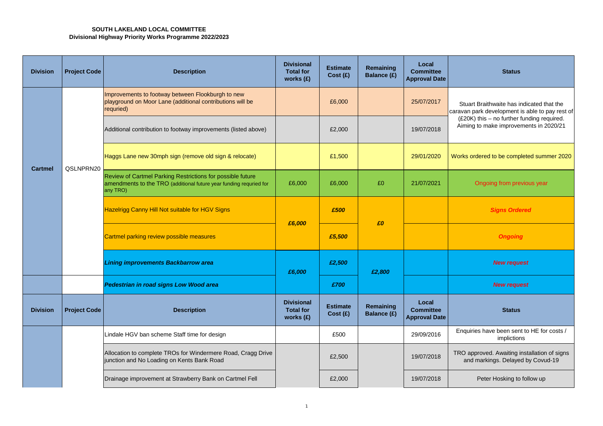## **SOUTH LAKELAND LOCAL COMMITTEE Divisional Highway Priority Works Programme 2022/2023**

| <b>Division</b> | <b>Project Code</b> | <b>Description</b>                                                                                                                           | <b>Divisional</b><br><b>Total for</b><br>works $(f)$ | <b>Estimate</b><br>Cost(E)  | Remaining<br>Balance (£) | Local<br><b>Committee</b><br><b>Approval Date</b> | <b>Status</b>                                                                                |
|-----------------|---------------------|----------------------------------------------------------------------------------------------------------------------------------------------|------------------------------------------------------|-----------------------------|--------------------------|---------------------------------------------------|----------------------------------------------------------------------------------------------|
|                 |                     | Improvements to footway between Flookburgh to new<br>playground on Moor Lane (additional contributions will be<br>requried)                  |                                                      | £6,000                      |                          | 25/07/2017                                        | Stuart Braithwaite has indicated that the<br>caravan park development is able to pay rest of |
|                 |                     | Additional contribution to footway improvements (listed above)                                                                               |                                                      | £2,000                      |                          | 19/07/2018                                        | (£20K) this - no further funding required.<br>Aiming to make improvements in 2020/21         |
| Cartmel         | QSLNPRN20           | Haggs Lane new 30mph sign (remove old sign & relocate)                                                                                       |                                                      | £1,500                      |                          | 29/01/2020                                        | Works ordered to be completed summer 2020                                                    |
|                 |                     | Review of Cartmel Parking Restrictions for possible future<br>amendments to the TRO (additional future year funding requried for<br>any TRO) | £6,000                                               | £6,000                      | £0                       | 21/07/2021                                        | Ongoing from previous year                                                                   |
|                 |                     | Hazelrigg Canny Hill Not suitable for HGV Signs                                                                                              | £6,000                                               | £500                        | £0                       |                                                   | <b>Signs Ordered</b>                                                                         |
|                 |                     | Cartmel parking review possible measures                                                                                                     |                                                      | £5,500                      |                          |                                                   | <b>Ongoing</b>                                                                               |
|                 |                     | Lining improvements Backbarrow area                                                                                                          | £6,000                                               | £2,500                      | £2,800                   |                                                   | <b>New request</b>                                                                           |
|                 |                     | <b>Pedestrian in road signs Low Wood area</b>                                                                                                |                                                      | £700                        |                          |                                                   | <b>New request</b>                                                                           |
| <b>Division</b> | <b>Project Code</b> | <b>Description</b>                                                                                                                           | <b>Divisional</b><br><b>Total for</b><br>works (£)   | <b>Estimate</b><br>Cost (£) | Remaining<br>Balance (£) | Local<br><b>Committee</b><br><b>Approval Date</b> | <b>Status</b>                                                                                |
|                 |                     | Lindale HGV ban scheme Staff time for design                                                                                                 |                                                      | £500                        |                          | 29/09/2016                                        | Enquiries have been sent to HE for costs /<br>implictions                                    |
|                 |                     | Allocation to complete TROs for Windermere Road, Cragg Drive<br>junction and No Loading on Kents Bank Road                                   |                                                      | £2,500                      |                          | 19/07/2018                                        | TRO approved. Awaiting installation of signs<br>and markings. Delayed by Covud-19            |
|                 |                     | Drainage improvement at Strawberry Bank on Cartmel Fell                                                                                      |                                                      | £2,000                      |                          | 19/07/2018                                        | Peter Hosking to follow up                                                                   |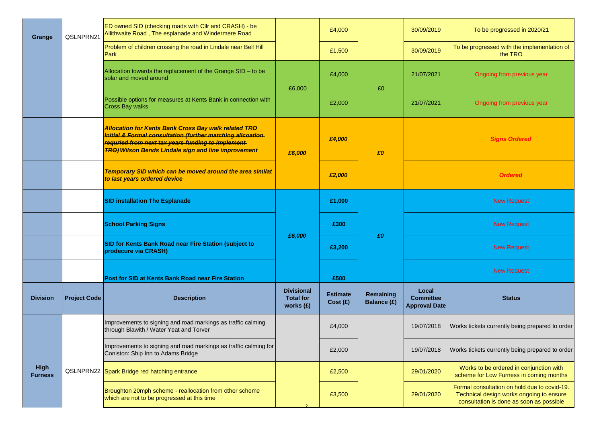| Grange                        | QSLNPRN21           | ED owned SID (checking roads with CIIr and CRASH) - be<br>Allithwaite Road, The esplanade and Windermere Road                                                                                                                                |                                                    | £4,000                      |                                 | 30/09/2019                                        | To be progressed in 2020/21                                                                                                          |
|-------------------------------|---------------------|----------------------------------------------------------------------------------------------------------------------------------------------------------------------------------------------------------------------------------------------|----------------------------------------------------|-----------------------------|---------------------------------|---------------------------------------------------|--------------------------------------------------------------------------------------------------------------------------------------|
|                               |                     | Problem of children crossing the road in Lindale near Bell Hill<br><b>Park</b>                                                                                                                                                               |                                                    | £1,500                      |                                 | 30/09/2019                                        | To be progressed with the implementation of<br>the TRO                                                                               |
|                               |                     | Allocation towards the replacement of the Grange SID - to be<br>solar and moved around                                                                                                                                                       | £6,000                                             | £4,000                      | £0                              | 21/07/2021                                        | Ongoing from previous year                                                                                                           |
|                               |                     | Possible options for measures at Kents Bank in connection with<br><b>Cross Bay walks</b>                                                                                                                                                     |                                                    | £2,000                      |                                 | 21/07/2021                                        | Ongoing from previous year                                                                                                           |
|                               |                     | <b>Allocation for Kents Bank Cross Bay walk related TRO</b><br>Initial & Formal consultation (further matching allcoation<br>requried from next tax years funding to implement<br><b>TRO) Wilson Bends Lindale sign and line improvement</b> | £6,000                                             | £4,000                      | £0                              |                                                   | <b>Signs Ordered</b>                                                                                                                 |
|                               |                     | Temporary SID which can be moved around the area similat<br>to last years ordered device                                                                                                                                                     |                                                    | £2,000                      |                                 |                                                   | <b>Ordered</b>                                                                                                                       |
|                               |                     | <b>SID installation The Esplanade</b>                                                                                                                                                                                                        |                                                    | £1,000                      |                                 |                                                   | <b>New Request</b>                                                                                                                   |
|                               |                     | <b>School Parking Signs</b>                                                                                                                                                                                                                  | £6,000                                             | £300                        | £O                              |                                                   | <b>New Request</b>                                                                                                                   |
|                               |                     | <b>SID for Kents Bank Road near Fire Station (subject to</b><br>prodecure via CRASH)                                                                                                                                                         |                                                    | £3,200                      |                                 |                                                   | <b>New Request</b>                                                                                                                   |
|                               |                     | <b>Post for SID at Kents Bank Road near Fire Station</b>                                                                                                                                                                                     |                                                    | £500                        |                                 |                                                   | <b>New Request</b>                                                                                                                   |
| <b>Division</b>               | <b>Project Code</b> | <b>Description</b>                                                                                                                                                                                                                           | <b>Divisional</b><br><b>Total for</b><br>works (£) | <b>Estimate</b><br>Cost (£) | Remaining<br><b>Balance (£)</b> | Local<br><b>Committee</b><br><b>Approval Date</b> | <b>Status</b>                                                                                                                        |
|                               |                     | Improvements to signing and road markings as traffic calming<br>through Blawith / Water Yeat and Torver                                                                                                                                      |                                                    | £4,000                      |                                 | 19/07/2018                                        | Works tickets currently being prepared to order                                                                                      |
|                               |                     | Improvements to signing and road markings as traffic calming for<br>Coniston: Ship Inn to Adams Bridge                                                                                                                                       |                                                    | £2,000                      |                                 | 19/07/2018                                        | Works tickets currently being prepared to order                                                                                      |
| <b>High</b><br><b>Furness</b> |                     | QSLNPRN22 Spark Bridge red hatching entrance                                                                                                                                                                                                 |                                                    | £2,500                      |                                 | 29/01/2020                                        | Works to be ordered in conjunction with<br>scheme for Low Furness in coming months                                                   |
|                               |                     | Broughton 20mph scheme - reallocation from other scheme<br>which are not to be progressed at this time                                                                                                                                       |                                                    | £3,500                      |                                 | 29/01/2020                                        | Formal consultation on hold due to covid-19.<br>Technical design works ongoing to ensure<br>consultation is done as soon as possible |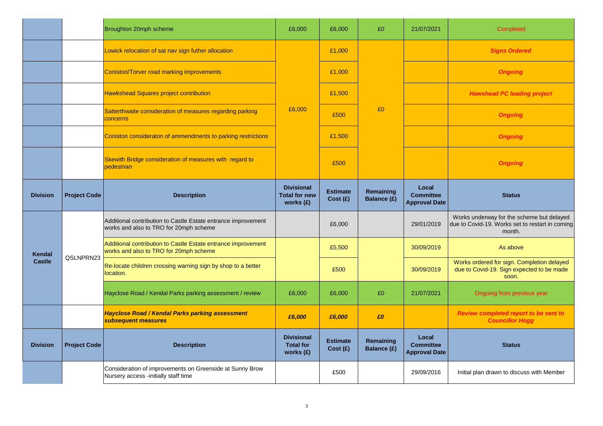|                 |                     | Broughton 20mph scheme                                                                                  | £6,000                                                   | £6,000                      | £0                              | 21/07/2021                                        | Completed                                                                                              |
|-----------------|---------------------|---------------------------------------------------------------------------------------------------------|----------------------------------------------------------|-----------------------------|---------------------------------|---------------------------------------------------|--------------------------------------------------------------------------------------------------------|
|                 |                     | Lowick relocation of sat nav sign futher allocation                                                     |                                                          | £1,000                      |                                 |                                                   | <b>Signs Ordered</b>                                                                                   |
|                 |                     | <b>Coniston/Torver road marking improvements</b>                                                        |                                                          | £1,000                      |                                 |                                                   | <b>Ongoing</b>                                                                                         |
|                 |                     | <b>Hawkshead Squares project contribution</b>                                                           |                                                          | £1,500                      |                                 |                                                   | <b>Hawshead PC leading project</b>                                                                     |
|                 |                     | Satterthwaite consideration of measures regarding parking<br>concerns                                   | £6,000                                                   | £500                        | £0                              |                                                   | <b>Ongoing</b>                                                                                         |
|                 |                     | Coniston consideraton of ammendments to parking restrictions                                            |                                                          | £1,500                      |                                 |                                                   | <b>Ongoing</b>                                                                                         |
|                 |                     | Skewith Bridge consideration of measures with regard to<br>pedestrian                                   |                                                          | £500                        |                                 |                                                   | <b>Ongoing</b>                                                                                         |
| <b>Division</b> | <b>Project Code</b> | <b>Description</b>                                                                                      | <b>Divisional</b><br><b>Total for new</b><br>works $(f)$ | <b>Estimate</b><br>Cost (£) | Remaining<br><b>Balance (£)</b> | Local<br><b>Committee</b><br><b>Approval Date</b> | <b>Status</b>                                                                                          |
|                 |                     | Additional contribution to Castle Estate entrance improvement<br>works and also to TRO for 20mph scheme |                                                          | £6,000                      |                                 | 29/01/2019                                        | Works underway for the scheme but delayed<br>due to Covid-19. Works set to restart in coming<br>month. |
| Kendal          | QSLNPRN23           | Additional contribution to Castle Estate entrance improvement<br>works and also to TRO for 20mph scheme |                                                          | £5,500                      |                                 | 30/09/2019                                        | As above                                                                                               |
| <b>Castle</b>   |                     | Re-locate children crossing warning sign by shop to a better<br>location.                               |                                                          | £500                        |                                 | 30/09/2019                                        | Works ordered for sign. Completion delayed<br>due to Covid-19. Sign expected to be made<br>soon.       |
|                 |                     | Hayclose Road / Kendal Parks parking assessment / review                                                | £6,000                                                   | £6,000                      | £0                              | 21/07/2021                                        | Ongoing from previous year                                                                             |
|                 |                     | <b>Hayclose Road / Kendal Parks parking assessment</b><br>subsequent measures                           | £6,000                                                   | £6,000                      | £0                              |                                                   | Review completed report to be sent to<br><b>Councillor Hogg</b>                                        |
| <b>Division</b> | <b>Project Code</b> | <b>Description</b>                                                                                      | <b>Divisional</b><br><b>Total for</b><br>works $(E)$     | <b>Estimate</b><br>Cost(E)  | Remaining<br>Balance (£)        | Local<br><b>Committee</b><br><b>Approval Date</b> | <b>Status</b>                                                                                          |
|                 |                     | Consideration of improvements on Greenside at Sunny Brow<br>Nursery access -initially staff time        |                                                          | £500                        |                                 | 29/09/2016                                        | Initial plan drawn to discuss with Member                                                              |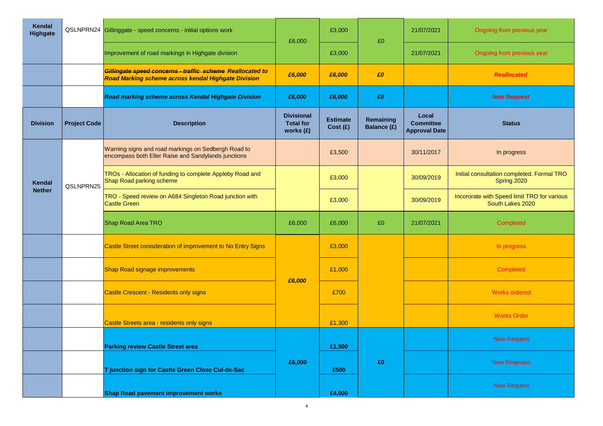| Kendal<br>Highgate |                     | QSLNPRN24 Gillinggate - speed concerns - initial options work                                                    | £6,000                                               | £3,000                     | £0                       | 21/07/2021                                        | Ongoing from previous year                                      |
|--------------------|---------------------|------------------------------------------------------------------------------------------------------------------|------------------------------------------------------|----------------------------|--------------------------|---------------------------------------------------|-----------------------------------------------------------------|
|                    |                     | Improvement of road markings in Highgate division                                                                |                                                      | £3,000                     |                          | 21/07/2021                                        | Ongoing from previous year                                      |
|                    |                     | Gillingate speed concerns - traffic scheme Reallocated to<br>Road Marking scheme across kendal Highgate Division | £6,000                                               | £6,000                     | £O                       |                                                   | <b>Reallocated</b>                                              |
|                    |                     | Road marking scheme across Kendal Highgate Division                                                              | £6,000                                               | £6,000                     | £O                       |                                                   | <b>New Request</b>                                              |
| <b>Division</b>    | <b>Project Code</b> | <b>Description</b>                                                                                               | <b>Divisional</b><br><b>Total for</b><br>works $(E)$ | <b>Estimate</b><br>Cost(E) | Remaining<br>Balance (£) | Local<br><b>Committee</b><br><b>Approval Date</b> | <b>Status</b>                                                   |
|                    |                     | Warning signs and road markings on Sedbergh Road to<br>encompass both Eller Raise and Sandylands junctions       |                                                      | £3,500                     |                          | 30/11/2017                                        | In progress                                                     |
| <b>Kendal</b>      | QSLNPRN25           | TROs - Allocation of funding to complete Appleby Road and<br>Shap Road parking scheme                            |                                                      | £3,000                     |                          | 30/09/2019                                        | Initial consultation completed. Formal TRO<br>Spring 2020       |
| <b>Nether</b>      |                     | TRO - Speed review on A684 Singleton Road junction with<br><b>Castle Green</b>                                   |                                                      | £3,000                     |                          | 30/09/2019                                        | Incororate with Speed limit TRO for various<br>South Lakes 2020 |
|                    |                     | Shap Road Area TRO                                                                                               | £6,000                                               | £6,000                     | £0                       | 21/07/2021                                        | Completed                                                       |
|                    |                     | Castle Street conisderation of improvement to No Entry Signs                                                     |                                                      | £3,000                     |                          |                                                   | In progress                                                     |
|                    |                     | Shap Road signage improvements                                                                                   |                                                      | £1,000                     |                          |                                                   | Completed                                                       |
|                    |                     | <b>Castle Crescent - Residents only signs</b>                                                                    | £6,000                                               | £700                       |                          |                                                   | <b>Works ordered</b>                                            |
|                    |                     | Castle Streets area - residents only signs                                                                       |                                                      | £1,300                     |                          |                                                   | <b>Works Order</b>                                              |
|                    |                     | <b>Parking review Castle Street area</b>                                                                         |                                                      | £1,500                     |                          |                                                   | <b>New Request</b>                                              |
|                    |                     | T junction sign for Castle Green Close Cul-de-Sac                                                                | £6,000                                               | £500                       | £O                       |                                                   | <b>New Reqeuest</b>                                             |
|                    |                     | <b>Shap Road pavement improvement works</b>                                                                      |                                                      | £4,000                     |                          |                                                   | <b>New Request</b>                                              |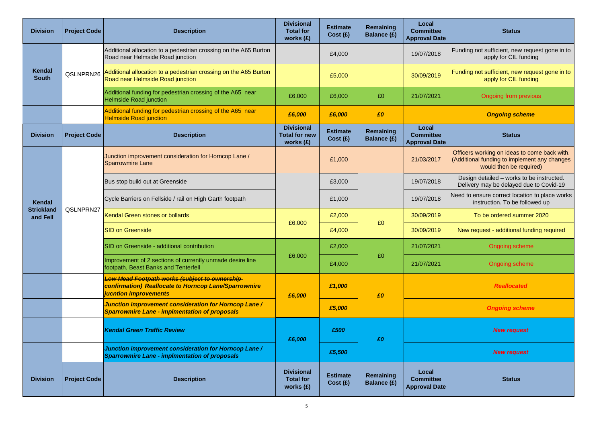| <b>Division</b>               | <b>Project Code</b> | <b>Description</b>                                                                                                                    | <b>Divisional</b><br><b>Total for</b><br>works (£)       | <b>Estimate</b><br>Cost(E) | Remaining<br><b>Balance (£)</b> | Local<br><b>Committee</b><br><b>Approval Date</b> | <b>Status</b>                                                                                                           |
|-------------------------------|---------------------|---------------------------------------------------------------------------------------------------------------------------------------|----------------------------------------------------------|----------------------------|---------------------------------|---------------------------------------------------|-------------------------------------------------------------------------------------------------------------------------|
|                               |                     | Additional allocation to a pedestrian crossing on the A65 Burton<br>Road near Helmside Road junction                                  |                                                          | £4,000                     |                                 | 19/07/2018                                        | Funding not sufficient, new request gone in to<br>apply for CIL funding                                                 |
| Kendal<br><b>South</b>        | QSLNPRN26           | Additional allocation to a pedestrian crossing on the A65 Burton<br>Road near Helmside Road junction                                  |                                                          | £5,000                     |                                 | 30/09/2019                                        | Funding not sufficient, new request gone in to<br>apply for CIL funding                                                 |
|                               |                     | Additional funding for pedestrian crossing of the A65 near<br><b>Helmside Road junction</b>                                           | £6,000                                                   | £6,000                     | £0                              | 21/07/2021                                        | Ongoing from previous                                                                                                   |
|                               |                     | Additional funding for pedestrian crossing of the A65 near<br><b>Helmside Road junction</b>                                           | £6,000                                                   | £6,000                     | £O                              |                                                   | <b>Ongoing scheme</b>                                                                                                   |
| <b>Division</b>               | <b>Project Code</b> | <b>Description</b>                                                                                                                    | <b>Divisional</b><br><b>Total for new</b><br>works $(f)$ | <b>Estimate</b><br>Cost(E) | Remaining<br>Balance (£)        | Local<br><b>Committee</b><br><b>Approval Date</b> | <b>Status</b>                                                                                                           |
|                               |                     | Junction improvement consideration for Horncop Lane /<br><b>Sparrowmire Lane</b>                                                      |                                                          | £1,000                     |                                 | 21/03/2017                                        | Officers working on ideas to come back with.<br>(Additional funding to implement any changes<br>would then be required) |
|                               |                     | Bus stop build out at Greenside                                                                                                       |                                                          | £3,000                     |                                 | 19/07/2018                                        | Design detailed - works to be instructed.<br>Delivery may be delayed due to Covid-19                                    |
| Kendal                        |                     | Cycle Barriers on Fellside / rail on High Garth footpath                                                                              |                                                          | £1,000                     |                                 | 19/07/2018                                        | Need to ensure correct location to place works<br>instruction. To be followed up                                        |
| <b>Strickland</b><br>and Fell | QSLNPRN27           | Kendal Green stones or bollards                                                                                                       |                                                          | £2,000                     |                                 | 30/09/2019                                        | To be ordered summer 2020                                                                                               |
|                               |                     | <b>SID on Greenside</b>                                                                                                               | £6,000                                                   | £4,000                     | £0                              | 30/09/2019                                        | New request - additional funding required                                                                               |
|                               |                     | SID on Greenside - additional contribution                                                                                            |                                                          | £2,000                     |                                 | 21/07/2021                                        | Ongoing scheme                                                                                                          |
|                               |                     | Improvement of 2 sections of currently unmade desire line<br>footpath, Beast Banks and Tenterfell                                     | £6,000                                                   | £4,000                     | £0                              | 21/07/2021                                        | <b>Ongoing scheme</b>                                                                                                   |
|                               |                     | Low Mead Footpath works (subject to ownership<br><b>confirmation) Reallocate to Horncop Lane/Sparrowmire</b><br>jucntion improvements | £6,000                                                   | £1,000                     | £O                              |                                                   | <b>Reallocated</b>                                                                                                      |
|                               |                     | Junction improvement consideration for Horncop Lane /<br><b>Sparrowmire Lane - implmentation of proposals</b>                         |                                                          | £5,000                     |                                 |                                                   | <b>Ongoing scheme</b>                                                                                                   |
|                               |                     | <b>Kendal Green Traffic Review</b>                                                                                                    | £6,000                                                   | £500                       | £0                              |                                                   | <b>New request</b>                                                                                                      |
|                               |                     | Junction improvement consideration for Horncop Lane /<br>Sparrowmire Lane - implmentation of proposals                                |                                                          | £5,500                     |                                 |                                                   | <b>New request</b>                                                                                                      |
| <b>Division</b>               | <b>Project Code</b> | <b>Description</b>                                                                                                                    | <b>Divisional</b><br><b>Total for</b><br>works $(f)$     | <b>Estimate</b><br>Cost(E) | Remaining<br>Balance (£)        | Local<br><b>Committee</b><br><b>Approval Date</b> | <b>Status</b>                                                                                                           |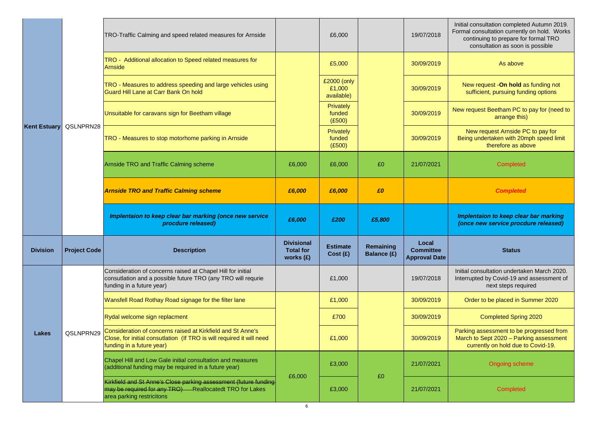|                 |                        | TRO-Traffic Calming and speed related measures for Arnside                                                                                                        |                                                      | £6,000                               |                                 | 19/07/2018                                        | Initial consultation completed Autumn 2019.<br>Formal consultation currently on hold. Works<br>continuing to prepare for formal TRO<br>consultation as soon is possible |
|-----------------|------------------------|-------------------------------------------------------------------------------------------------------------------------------------------------------------------|------------------------------------------------------|--------------------------------------|---------------------------------|---------------------------------------------------|-------------------------------------------------------------------------------------------------------------------------------------------------------------------------|
|                 |                        | TRO - Additional allocation to Speed related measures for<br>Arnside                                                                                              |                                                      | £5,000                               |                                 | 30/09/2019                                        | As above                                                                                                                                                                |
|                 |                        | TRO - Measures to address speeding and large vehicles using<br>Guard Hill Lane at Carr Bank On hold                                                               |                                                      | £2000 (only<br>£1,000<br>available)  |                                 | 30/09/2019                                        | New request - On hold as funding not<br>sufficient, pursuing funding options                                                                                            |
|                 |                        | Unsuitable for caravans sign for Beetham village                                                                                                                  |                                                      | Privately<br>funded<br>(E500)        |                                 | 30/09/2019                                        | New request Beetham PC to pay for (need to<br>arrange this)                                                                                                             |
|                 | Kent Estuary QSLNPRN28 | TRO - Measures to stop motorhome parking in Arnside                                                                                                               |                                                      | <b>Privately</b><br>funded<br>(E500) |                                 | 30/09/2019                                        | New request Arnside PC to pay for<br>Being undertaken with 20mph speed limit<br>therefore as above                                                                      |
|                 |                        | Arnside TRO and Traffic Calming scheme                                                                                                                            | £6,000                                               | £6,000                               | £0                              | 21/07/2021                                        | Completed                                                                                                                                                               |
|                 |                        | <b>Arnside TRO and Traffic Calming scheme</b>                                                                                                                     | £6,000                                               | £6,000                               | £0                              |                                                   | <b>Completed</b>                                                                                                                                                        |
|                 |                        |                                                                                                                                                                   |                                                      |                                      |                                 |                                                   |                                                                                                                                                                         |
|                 |                        | Implentaion to keep clear bar marking (once new service<br>procdure released)                                                                                     | £6,000                                               | £200                                 | £5,800                          |                                                   | Implentaion to keep clear bar marking<br>(once new service procdure released)                                                                                           |
| <b>Division</b> | <b>Project Code</b>    | <b>Description</b>                                                                                                                                                | <b>Divisional</b><br><b>Total for</b><br>works $(E)$ | <b>Estimate</b><br>Cost(E)           | Remaining<br><b>Balance (£)</b> | Local<br><b>Committee</b><br><b>Approval Date</b> | <b>Status</b>                                                                                                                                                           |
|                 |                        | Consideration of concerns raised at Chapel Hill for initial<br>consutlation and a possible future TRO (any TRO will requrie<br>funding in a future year)          |                                                      | £1,000                               |                                 | 19/07/2018                                        | Initial consultation undertaken March 2020.<br>Interrupted by Covid-19 and assessment of<br>next steps required                                                         |
|                 |                        | Wansfell Road Rothay Road signage for the filter lane                                                                                                             |                                                      | £1,000                               |                                 | 30/09/2019                                        | Order to be placed in Summer 2020                                                                                                                                       |
|                 |                        | Rydal welcome sign replacment                                                                                                                                     |                                                      | £700                                 |                                 | 30/09/2019                                        | <b>Completed Spring 2020</b>                                                                                                                                            |
| Lakes           | QSLNPRN29              | Consideration of concerns raised at Kirkfield and St Anne's<br>Close, for initial consutlation (If TRO is will required it will need<br>funding in a future year) |                                                      | £1,000                               |                                 | 30/09/2019                                        | Parking assessment to be progressed from<br>March to Sept 2020 - Parking assessment<br>currently on hold due to Covid-19.                                               |
|                 |                        | Chapel Hill and Low Gale initial consultation and measures<br>(additional funding may be required in a future year)                                               | £6,000                                               | £3,000                               | £0                              | 21/07/2021                                        | Ongoing scheme                                                                                                                                                          |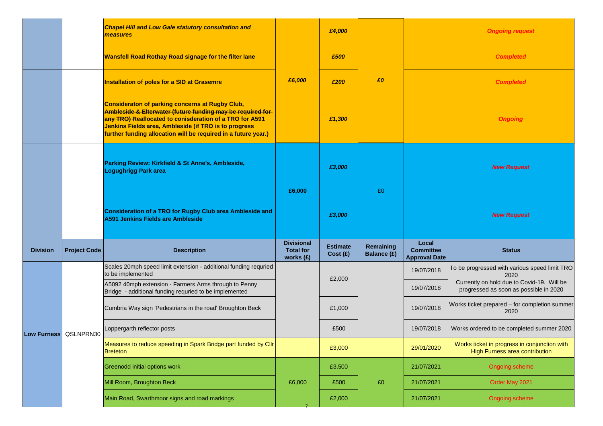|                 |                       | <b>Chapel Hill and Low Gale statutory consultation and</b><br>measures                                                                                                                                                                                                                               |                                                      | £4,000                     |                          |                                                   | <b>Ongoing request</b>                                                               |
|-----------------|-----------------------|------------------------------------------------------------------------------------------------------------------------------------------------------------------------------------------------------------------------------------------------------------------------------------------------------|------------------------------------------------------|----------------------------|--------------------------|---------------------------------------------------|--------------------------------------------------------------------------------------|
|                 |                       | <b>Wansfell Road Rothay Road signage for the filter lane</b>                                                                                                                                                                                                                                         |                                                      | £500                       |                          |                                                   | <b>Completed</b>                                                                     |
|                 |                       | <b>Installation of poles for a SID at Grasemre</b>                                                                                                                                                                                                                                                   | £6,000                                               | £200                       | £0                       |                                                   | <b>Completed</b>                                                                     |
|                 |                       | Consideraton of parking concerns at Rugby Club,<br>Ambleside & Elterwater (future funding may be required for-<br>any TRO) Reallocated to conisderation of a TRO for A591<br>Jenkins Fields area, Ambleside (if TRO is to progress<br>further funding allocation will be required in a future year.) | £1,300                                               |                            |                          |                                                   | <b>Ongoing</b>                                                                       |
|                 |                       | Parking Review: Kirkfield & St Anne's, Ambleside,<br><b>Logughrigg Park area</b>                                                                                                                                                                                                                     | £6,000                                               | £3,000                     |                          |                                                   | <b>New Request</b>                                                                   |
|                 |                       | Consideration of a TRO for Rugby Club area Ambleside and<br>A591 Jenkins Fields are Ambleside                                                                                                                                                                                                        |                                                      | £3,000                     | £0                       |                                                   | <b>New Request</b>                                                                   |
| <b>Division</b> | <b>Project Code</b>   | <b>Description</b>                                                                                                                                                                                                                                                                                   | <b>Divisional</b><br><b>Total for</b><br>works $(E)$ | <b>Estimate</b><br>Cost(E) | Remaining<br>Balance (£) | Local<br><b>Committee</b><br><b>Approval Date</b> | <b>Status</b>                                                                        |
|                 |                       | Scales 20mph speed limit extension - additional funding requried<br>to be implemented                                                                                                                                                                                                                |                                                      | £2,000                     |                          | 19/07/2018                                        | To be progressed with various speed limit TRO<br>2020                                |
|                 |                       | A5092 40mph extension - Farmers Arms through to Penny<br>Bridge - additional funding requried to be implemented                                                                                                                                                                                      |                                                      |                            |                          | 19/07/2018                                        | Currently on hold due to Covid-19. Will be<br>progressed as soon as possible in 2020 |
|                 |                       | Cumbria Way sign 'Pedestrians in the road' Broughton Beck                                                                                                                                                                                                                                            |                                                      | £1,000                     |                          | 19/07/2018                                        | Works ticket prepared - for completion summer<br>2020                                |
|                 | Low Furness QSLNPRN30 | Loppergarth reflector posts                                                                                                                                                                                                                                                                          |                                                      | £500                       |                          | 19/07/2018                                        | Works ordered to be completed summer 2020                                            |
|                 |                       | Measures to reduce speeding in Spark Bridge part funded by Cllr<br><b>Breteton</b>                                                                                                                                                                                                                   |                                                      | £3,000                     |                          | 29/01/2020                                        | Works ticket in progress in conjunction with<br>High Furness area contribution       |
|                 |                       | Greenodd initial options work                                                                                                                                                                                                                                                                        |                                                      | £3,500                     |                          | 21/07/2021                                        | Ongoing scheme                                                                       |
|                 |                       | Mill Room, Broughton Beck                                                                                                                                                                                                                                                                            | £6,000                                               | £500                       | £0                       | 21/07/2021                                        | Order May 2021                                                                       |
|                 |                       | Main Road, Swarthmoor signs and road markings                                                                                                                                                                                                                                                        |                                                      | £2,000                     |                          | 21/07/2021                                        | Ongoing scheme                                                                       |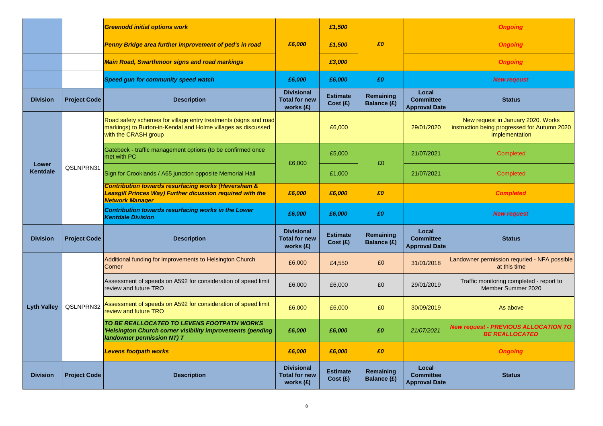|                    |                     | <b>Greenodd initial options work</b>                                                                                                                         |                                                        | £1,500                     |                                 |                                                   | <b>Ongoing</b>                                                                                       |
|--------------------|---------------------|--------------------------------------------------------------------------------------------------------------------------------------------------------------|--------------------------------------------------------|----------------------------|---------------------------------|---------------------------------------------------|------------------------------------------------------------------------------------------------------|
|                    |                     | Penny Bridge area further improvement of ped's in road                                                                                                       | £6,000                                                 | £1,500                     | £0                              |                                                   | <b>Ongoing</b>                                                                                       |
|                    |                     | <b>Main Road, Swarthmoor signs and road markings</b>                                                                                                         |                                                        | £3,000                     |                                 |                                                   | <b>Ongoing</b>                                                                                       |
|                    |                     | Speed gun for community speed watch                                                                                                                          | £6,000                                                 | £6,000                     | £0                              |                                                   | <b>New regeust</b>                                                                                   |
| <b>Division</b>    | <b>Project Code</b> | <b>Description</b>                                                                                                                                           | <b>Divisional</b><br><b>Total for new</b><br>works (£) | <b>Estimate</b><br>Cost(E) | Remaining<br>Balance (£)        | Local<br><b>Committee</b><br><b>Approval Date</b> | <b>Status</b>                                                                                        |
|                    |                     | Road safety schemes for village entry treatments (signs and road<br>markings) to Burton-in-Kendal and Holme villages as discussed<br>with the CRASH group    |                                                        | £6,000                     |                                 | 29/01/2020                                        | New request in January 2020. Works<br>instruction being progressed for Autumn 2020<br>implementation |
|                    |                     | Gatebeck - traffic management options (to be confirmed once<br>met with PC                                                                                   | £6,000                                                 | £5,000                     | £0                              | 21/07/2021                                        | <b>Completed</b>                                                                                     |
| Lower<br>Kentdale  | QSLNPRN31           | Sign for Crooklands / A65 junction opposite Memorial Hall                                                                                                    |                                                        | £1,000                     |                                 | 21/07/2021                                        | Completed                                                                                            |
|                    |                     | <b>Contribution towards resurfacing works (Heversham &amp;</b><br><b>Leasgill Princes Way) Further dicussion required with the</b><br><b>Network Manager</b> | £6,000                                                 | £6,000                     | £0                              |                                                   | <b>Completed</b>                                                                                     |
|                    |                     | <b>Contribution towards resurfacing works in the Lower</b><br><b>Kentdale Division</b>                                                                       | £6,000                                                 | £6,000                     | £0                              |                                                   | <b>New request</b>                                                                                   |
| <b>Division</b>    | <b>Project Code</b> | <b>Description</b>                                                                                                                                           | <b>Divisional</b><br><b>Total for new</b><br>works (£) | <b>Estimate</b><br>Cost(E) | Remaining<br>Balance (£)        | Local<br><b>Committee</b><br><b>Approval Date</b> | <b>Status</b>                                                                                        |
|                    |                     | Additional funding for improvements to Helsington Church<br>Corner                                                                                           | £6,000                                                 | £4,550                     | £0                              | 31/01/2018                                        | Landowner permission requried - NFA possible<br>at this time                                         |
|                    |                     | Assessment of speeds on A592 for consideration of speed limit<br>review and future TRO                                                                       | £6,000                                                 | £6,000                     | £0                              | 29/01/2019                                        | Traffic monitoring completed - report to<br>Member Summer 2020                                       |
| <b>Lyth Valley</b> | QSLNPRN32           | Assessment of speeds on A592 for consideration of speed limit<br>review and future TRO                                                                       | £6,000                                                 | £6,000                     | £0                              | 30/09/2019                                        | As above                                                                                             |
|                    |                     | TO BE REALLOCATED TO LEVENS FOOTPATH WORKS<br>'Helsington Church corner visibility improvements (pending<br>landowner permission NT) T                       | £6,000                                                 | £6,000                     | £0                              | 21/07/2021                                        | <b>New request - PREVIOUS ALLOCATION TO</b><br><b>BE REALLOCATED</b>                                 |
|                    |                     | <b>Levens footpath works</b>                                                                                                                                 | £6,000                                                 | £6,000                     | £0                              |                                                   | <b>Ongoing</b>                                                                                       |
| <b>Division</b>    | <b>Project Code</b> | <b>Description</b>                                                                                                                                           | <b>Divisional</b><br><b>Total for new</b><br>works (£) | <b>Estimate</b><br>Cost(E) | Remaining<br><b>Balance (£)</b> | Local<br><b>Committee</b><br><b>Approval Date</b> | <b>Status</b>                                                                                        |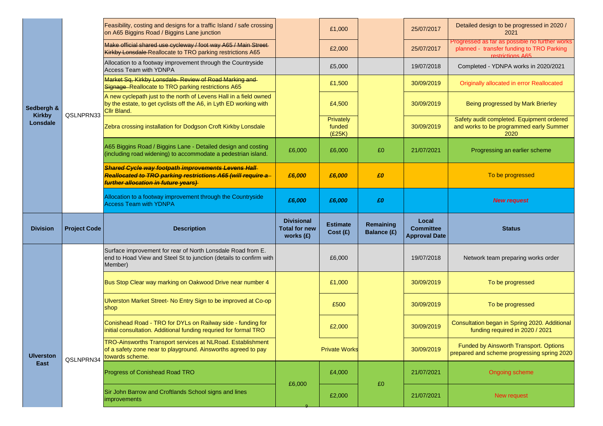|                           |                     | Feasibility, costing and designs for a traffic Island / safe crossing<br>on A65 Biggins Road / Biggins Lane junction                                     |                                                          | £1,000                        |                                 | 25/07/2017                                        | Detailed design to be progressed in 2020 /<br>2021                                                              |
|---------------------------|---------------------|----------------------------------------------------------------------------------------------------------------------------------------------------------|----------------------------------------------------------|-------------------------------|---------------------------------|---------------------------------------------------|-----------------------------------------------------------------------------------------------------------------|
|                           |                     | Make official shared use cycleway / foot way A65 / Main Street-<br>Kirkby Lonsdale Reallocate to TRO parking restrictions A65                            |                                                          | £2,000                        |                                 | 25/07/2017                                        | Progressed as far as possible no further works<br>planned - transfer funding to TRO Parking<br>restrictions A65 |
|                           |                     | Allocation to a footway improvement through the Countryside<br>Access Team with YDNPA                                                                    |                                                          | £5,000                        |                                 | 19/07/2018                                        | Completed - YDNPA works in 2020/2021                                                                            |
|                           |                     | Market Sq, Kirkby Lonsdale-Review of Road Marking and<br>Signage-Reallocate to TRO parking restrictions A65                                              |                                                          | £1,500                        |                                 | 30/09/2019                                        | Originally allocated in error Reallocated                                                                       |
| Sedbergh &                | QSLNPRN33           | A new cyclepath just to the north of Levens Hall in a field owned<br>by the estate, to get cyclists off the A6, in Lyth ED working with<br>Cllr Bland.   |                                                          | £4,500                        |                                 | 30/09/2019                                        | Being progressed by Mark Brierley                                                                               |
| <b>Kirkby</b><br>Lonsdale |                     | Zebra crossing installation for Dodgson Croft Kirkby Lonsdale                                                                                            |                                                          | Privately<br>funded<br>(E25K) |                                 | 30/09/2019                                        | Safety audit completed. Equipment ordered<br>and works to be programmed early Summer<br>2020                    |
|                           |                     | A65 Biggins Road / Biggins Lane - Detailed design and costing<br>(including road widening) to accommodate a pedestrian island.                           | £6,000                                                   | £6,000                        | £0                              | 21/07/2021                                        | Progressing an earlier scheme                                                                                   |
|                           |                     | Shared Cycle way footpath improvements Levens Hall<br>Reallocated to TRO parking restrictions A65 (will require a<br>further allocation in future years) | £6,000                                                   | £6,000                        | £0                              |                                                   | To be progressed                                                                                                |
|                           |                     | Allocation to a footway improvement through the Countryside<br><b>Access Team with YDNPA</b>                                                             | £6,000                                                   | £6,000                        | £0                              |                                                   | <b>New request</b>                                                                                              |
|                           |                     |                                                                                                                                                          |                                                          |                               |                                 |                                                   |                                                                                                                 |
| <b>Division</b>           | <b>Project Code</b> | <b>Description</b>                                                                                                                                       | <b>Divisional</b><br><b>Total for new</b><br>works $(f)$ | <b>Estimate</b><br>Cost(E)    | Remaining<br><b>Balance (£)</b> | Local<br><b>Committee</b><br><b>Approval Date</b> | <b>Status</b>                                                                                                   |
|                           |                     | Surface improvement for rear of North Lonsdale Road from E.<br>end to Hoad View and Steel St to junction (details to confirm with<br>Member)             |                                                          | £6,000                        |                                 | 19/07/2018                                        | Network team preparing works order                                                                              |
|                           |                     | Bus Stop Clear way marking on Oakwood Drive near number 4                                                                                                |                                                          | £1,000                        |                                 | 30/09/2019                                        | To be progressed                                                                                                |
|                           |                     | Ulverston Market Street- No Entry Sign to be improved at Co-op<br>shop                                                                                   |                                                          | £500                          |                                 | 30/09/2019                                        | To be progressed                                                                                                |
|                           |                     | Conishead Road - TRO for DYLs on Railway side - funding for<br>initial consultation. Additional funding requried for formal TRO                          |                                                          | £2,000                        |                                 | 30/09/2019                                        | Consultation began in Spring 2020. Additional<br>funding required in 2020 / 2021                                |
| <b>Ulverston</b>          | QSLNPRN34           | <b>TRO-Ainsworths Transport services at NLRoad. Establishment</b><br>of a safety zone near to playground. Ainsworths agreed to pay<br>towards scheme.    |                                                          | <b>Private Works</b>          |                                 | 30/09/2019                                        | Funded by Ainsworth Transport. Options<br>prepared and scheme progressing spring 2020                           |
| East                      |                     | Progress of Conishead Road TRO                                                                                                                           | £6,000                                                   | £4,000                        | £0                              | 21/07/2021                                        | Ongoing scheme                                                                                                  |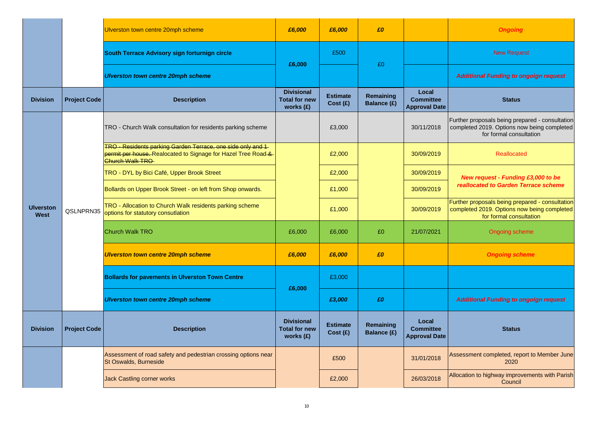|                          |                     | Ulverston town centre 20mph scheme                                                                                                              | £6,000                                                   | £6,000                     | £0                       |                                                   | <b>Ongoing</b>                                                                                                            |
|--------------------------|---------------------|-------------------------------------------------------------------------------------------------------------------------------------------------|----------------------------------------------------------|----------------------------|--------------------------|---------------------------------------------------|---------------------------------------------------------------------------------------------------------------------------|
|                          |                     | South Terrace Advisory sign forturnign circle                                                                                                   |                                                          | £500                       | £0                       |                                                   | <b>New Request</b>                                                                                                        |
|                          |                     | Ulverston town centre 20mph scheme                                                                                                              | £6,000                                                   |                            |                          |                                                   | <b>Additional Funding to ongoign request</b>                                                                              |
| <b>Division</b>          | <b>Project Code</b> | <b>Description</b>                                                                                                                              | <b>Divisional</b><br><b>Total for new</b><br>works (£)   | <b>Estimate</b><br>Cost(E) | Remaining<br>Balance (£) | Local<br><b>Committee</b><br><b>Approval Date</b> | <b>Status</b>                                                                                                             |
|                          |                     | TRO - Church Walk consultation for residents parking scheme                                                                                     |                                                          | £3,000                     |                          | 30/11/2018                                        | Further proposals being prepared - consultation<br>completed 2019. Options now being completed<br>for formal consultation |
|                          |                     | TRO - Residents parking Garden Terrace, one side only and 1<br>permit per house. Realocated to Signage for Hazel Tree Road-&<br>Church Walk TRO |                                                          | £2,000                     |                          | 30/09/2019                                        | <b>Reallocated</b>                                                                                                        |
|                          |                     | TRO - DYL by Bici Café, Upper Brook Street                                                                                                      |                                                          | £2,000                     |                          | 30/09/2019                                        | New request - Funding £3,000 to be                                                                                        |
|                          |                     | Bollards on Upper Brook Street - on left from Shop onwards.                                                                                     |                                                          | £1,000                     |                          | 30/09/2019                                        | reallocated to Garden Terrace scheme                                                                                      |
| <b>Ulverston</b><br>West | QSLNPRN35           | TRO - Allocation to Church Walk residents parking scheme<br>options for statutory consutlation                                                  |                                                          | £1,000                     |                          | 30/09/2019                                        | Further proposals being prepared - consultation<br>completed 2019. Options now being completed<br>for formal consultation |
|                          |                     | <b>Church Walk TRO</b>                                                                                                                          | £6,000                                                   | £6,000                     | £0                       | 21/07/2021                                        | Ongoing scheme                                                                                                            |
|                          |                     | <b>Ulverston town centre 20mph scheme</b>                                                                                                       | £6,000                                                   | £6,000                     | £0                       |                                                   | <b>Ongoing scheme</b>                                                                                                     |
|                          |                     | <b>Bollards for pavements in Ulverston Town Centre</b>                                                                                          | £6,000                                                   | £3,000                     |                          |                                                   |                                                                                                                           |
|                          |                     | Ulverston town centre 20mph scheme                                                                                                              |                                                          | £3,000                     | £0                       |                                                   | <b>Additional Funding to ongoign request</b>                                                                              |
| <b>Division</b>          | <b>Project Code</b> | <b>Description</b>                                                                                                                              | <b>Divisional</b><br><b>Total for new</b><br>works $(f)$ | <b>Estimate</b><br>Cost(E) | Remaining<br>Balance (£) | Local<br><b>Committee</b><br><b>Approval Date</b> | <b>Status</b>                                                                                                             |
|                          |                     | Assessment of road safety and pedestrian crossing options near<br>St Oswalds, Burneside                                                         |                                                          | £500                       |                          | 31/01/2018                                        | Assessment completed, report to Member June<br>2020                                                                       |
|                          |                     | <b>Jack Castling corner works</b>                                                                                                               |                                                          | £2,000                     |                          | 26/03/2018                                        | Allocation to highway improvements with Parish<br>Council                                                                 |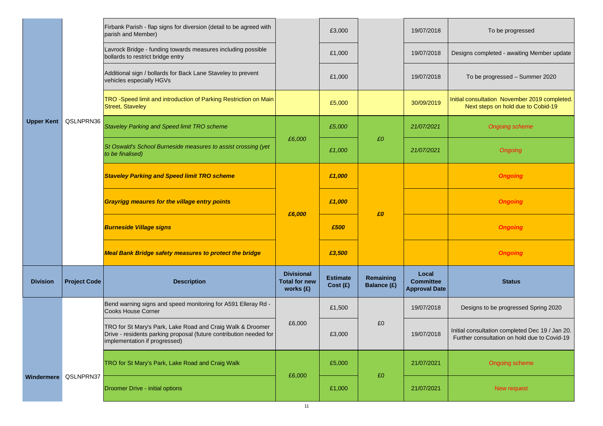|                   |                      | Firbank Parish - flap signs for diversion (detail to be agreed with<br>parish and Member)                                                                         |                                                        | £3,000                     |                          | 19/07/2018                                        | To be progressed                                                                                |
|-------------------|----------------------|-------------------------------------------------------------------------------------------------------------------------------------------------------------------|--------------------------------------------------------|----------------------------|--------------------------|---------------------------------------------------|-------------------------------------------------------------------------------------------------|
|                   |                      | Lavrock Bridge - funding towards measures including possible<br>bollards to restrict bridge entry                                                                 |                                                        | £1,000                     |                          | 19/07/2018                                        | Designs completed - awaiting Member update                                                      |
|                   |                      | Additional sign / bollards for Back Lane Staveley to prevent<br>vehicles especially HGVs                                                                          |                                                        | £1,000                     |                          | 19/07/2018                                        | To be progressed - Summer 2020                                                                  |
|                   |                      | TRO -Speed limit and introduction of Parking Restriction on Main<br><b>Street, Staveley</b>                                                                       |                                                        | £5,000                     |                          | 30/09/2019                                        | Initial consultation November 2019 completed.<br>Next steps on hold due to Cobid-19             |
| <b>Upper Kent</b> | QSLNPRN36            | <b>Staveley Parking and Speed limit TRO scheme</b>                                                                                                                |                                                        | £5,000                     |                          | 21/07/2021                                        | <b>Ongoing scheme</b>                                                                           |
|                   |                      | St Oswald's School Burneside measures to assist crossing (yet<br>to be finalised)                                                                                 | £6,000                                                 | £1,000                     | £0                       | 21/07/2021                                        | Ongoing                                                                                         |
|                   |                      | <b>Staveley Parking and Speed limit TRO scheme</b>                                                                                                                |                                                        | £1,000                     |                          |                                                   | <b>Ongoing</b>                                                                                  |
|                   |                      | <b>Grayrigg meaures for the village entry points</b>                                                                                                              | £6,000                                                 | £1,000                     | £0                       |                                                   | <b>Ongoing</b>                                                                                  |
|                   |                      | <b>Burneside Village signs</b>                                                                                                                                    |                                                        | £500                       |                          |                                                   | <b>Ongoing</b>                                                                                  |
|                   |                      | <b>Meal Bank Bridge safety measures to protect the bridge</b>                                                                                                     |                                                        | £3,500                     |                          |                                                   | <b>Ongoing</b>                                                                                  |
| <b>Division</b>   | <b>Project Code</b>  | <b>Description</b>                                                                                                                                                | <b>Divisional</b><br><b>Total for new</b><br>works (£) | <b>Estimate</b><br>Cost(E) | Remaining<br>Balance (£) | Local<br><b>Committee</b><br><b>Approval Date</b> | <b>Status</b>                                                                                   |
|                   |                      | Bend warning signs and speed monitoring for A591 Elleray Rd -<br><b>Cooks House Corner</b>                                                                        |                                                        | £1,500                     |                          | 19/07/2018                                        | Designs to be progressed Spring 2020                                                            |
|                   |                      | TRO for St Mary's Park, Lake Road and Craig Walk & Droomer<br>Drive - residents parking proposal (future contribution needed for<br>implementation if progressed) | £6,000                                                 | £3,000                     | £0                       | 19/07/2018                                        | Initial consultation completed Dec 19 / Jan 20.<br>Further consultation on hold due to Covid-19 |
|                   |                      | TRO for St Mary's Park, Lake Road and Craig Walk                                                                                                                  | £6,000                                                 | £5,000                     | £0                       | 21/07/2021                                        | Ongoing scheme                                                                                  |
|                   | Windermere QSLNPRN37 | Droomer Drive - initial options                                                                                                                                   |                                                        | £1,000                     |                          | 21/07/2021                                        | New request                                                                                     |